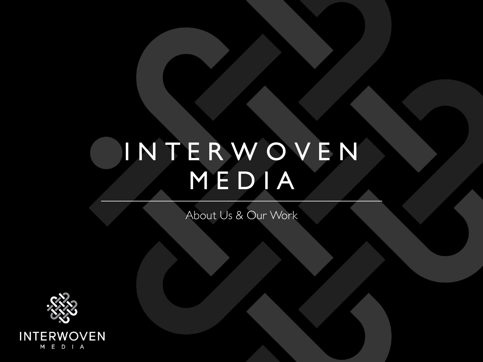# **I N T E R W O V E N M E D I A**

*About Us & Our Work*

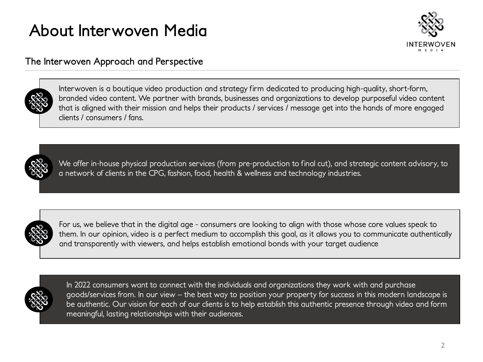## **About Interwoven Media**



#### **The Interwoven Approach and Perspective**



Interwoven is a boutique video production and strategy firm dedicated to producing high-quality, short-form, branded video content. We partner with brands, businesses and organizations to develop purposeful video content that is aligned with their mission and helps their products / services / message get into the hands of more engaged clients / consumers / fans.



We offer in-house physical production services (from pre-production to final cut), and strategic content advisory, to a network of clients in the CPG, fashion, food, health & wellness and technology industries.



For us, we believe that in the digital age - consumers are looking to align with those whose core values speak to them. In our opinion, video is a perfect medium to accomplish this goal, as it allows you to communicate authentically and transparently with viewers, and helps establish emotional bonds with your target audience



In 2022 consumers want to connect with the individuals and organizations they work with and purchase goods/services from. In our view – the best way to position your property for success in this modern landscape is be authentic. Our vision for each of our clients is to help establish this authentic presence through video and form meaningful, lasting relationships with their audiences.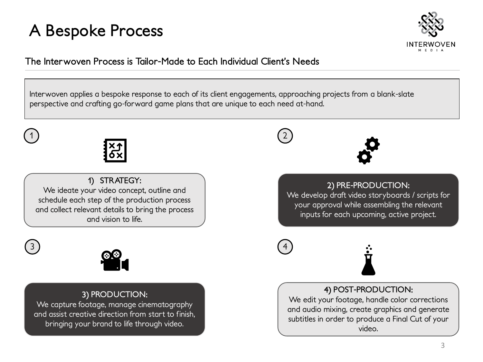#### **A Bespoke Process**



**The Interwoven Process is Tailor-Made to Each Individual Client's Needs**

Interwoven applies a bespoke response to each of its client engagements, approaching projects from a blank-slate perspective and crafting go-forward game plans that are unique to each need at-hand.



1 ) (2

**1) STRATEGY:**  We ideate your video concept, outline and schedule each step of the production process and collect relevant details to bring the process and vision to life.





#### 3) **PRODUCTION**:

We capture footage, manage cinematography and assist creative direction from start to finish, bringing your brand to life through video.





2) **PRE-PRODUCTION**:

We develop draft video storyboards / scripts for your approval while assembling the relevant inputs for each upcoming, active project.





4) **POST-PRODUCTION**: We edit your footage, handle color corrections and audio mixing, create graphics and generate subtitles in order to produce a Final Cut of your video.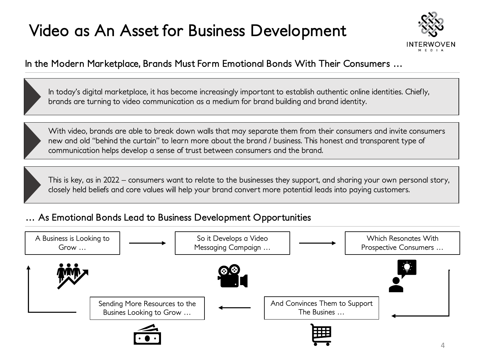## **Video as An Asset for Business Development**



#### **In the Modern Marketplace, Brands Must Form Emotional Bonds With Their Consumers …**

In today's digital marketplace, it has become increasingly important to establish authentic online identities. Chiefly, brands are turning to video communication as a medium for brand building and brand identity.

With video, brands are able to break down walls that may separate them from their consumers and invite consumers new and old "behind the curtain" to learn more about the brand / business. This honest and transparent type of communication helps develop a sense of trust between consumers and the brand.

This is key, as in 2022 – consumers want to relate to the businesses they support, and sharing your own personal story, closely held beliefs and core values will help your brand convert more potential leads into paying customers.

#### **… As Emotional Bonds Lead to Business Development Opportunities**

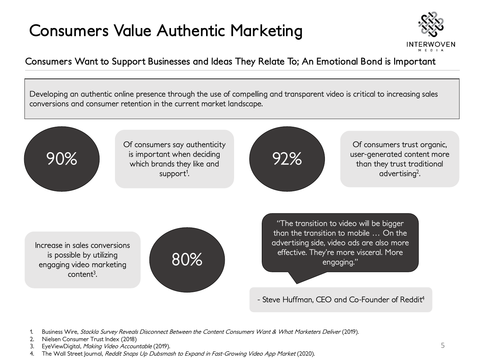### **Consumers Value Authentic Marketing**



**Consumers Want to Support Businesses and Ideas They Relate To; An Emotional Bond is Important**

Developing an authentic online presence through the use of compelling and transparent video is critical to increasing sales conversions and consumer retention in the current market landscape.



- Steve Huffman, CEO and Co-Founder of Reddit<sup>4</sup>

- Business Wire, Stackla Survey Reveals Disconnect Between the Content Consumers Want & What Marketers Deliver (2019).
- 2. Nielsen Consumer Trust Index (2018)
- 3. EyeViewDigital, Making Video Accountable (2019).
- The Wall Street Journal, Reddit Snaps Up Dubsmash to Expand in Fast-Growing Video App Market (2020).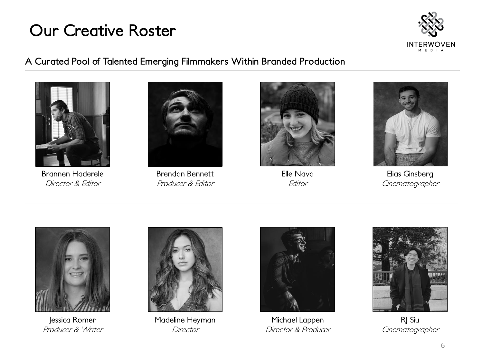#### **Our Creative Roster**



**A Curated Pool of Talented Emerging Filmmakers Within Branded Production**



Brannen Haderele *Director & Editor*



Brendan Bennett *Producer & Editor*



Elle Nava *Editor*



Elias Ginsberg *Cinematographer*



Jessica Romer *Producer & Writer*



Madeline Heyman *Director*



Michael Lappen *Director & Producer*



RJ Siu *Cinematographer*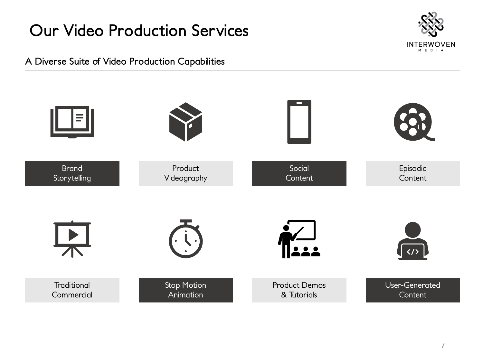### **Our Video Production Services**



**A Diverse Suite of Video Production Capabilities**

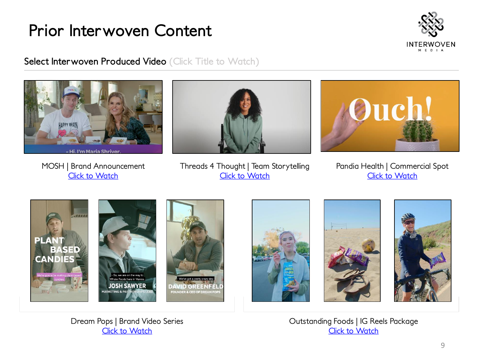

**Select Interwoven Produced Video (Click Title to Watch)** 



**CANDIE** 











Dream Pops | Brand Video Series [Click to Watch](https://www.dropbox.com/sh/8hs3n3nj8wqr8dt/AADIh5WTJTYeXo6zHI7W-8rNa?dl=0)

Outstanding Foods | IG Reels Package [Click to Watch](https://www.dropbox.com/sh/cxbx3uvu3bll22y/AADFRoHTjqpJOKW59qqcsTpOa?dl=0)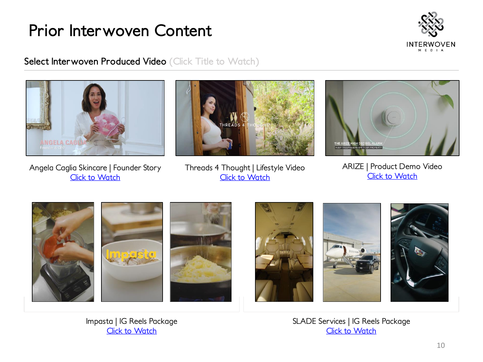

**Select Interwoven Produced Video (Click Title to Watch)** 



Angela Caglia Skincare | Founder Story **[Click to Watch](https://www.dropbox.com/s/mg7gtekylychmzu/ACS%20Brand%20Storytelling.mp4?dl=0)** 



Threads 4 Thought | Lifestyle Video **[Click to Watch](https://drive.google.com/file/d/1sM4coHGTVxh6fGnhPflJZnSI4b7s6Z4n/view?usp=sharing)** 



ARIZE | Product Demo Video **[Click to Watch](https://drive.google.com/file/d/1U5vO20Fb1uWLTVRbWFPGLeNSHg5ilChQ/view?usp=sharing)** 



Impasta | IG Reels Package [Click to Watch](https://www.dropbox.com/sh/vjech2nwn6v68hp/AAC6opAWn9lEJayMoJeivwp2a?dl=0)

SLADE Services | IG Reels Package [Click to Watch](https://www.dropbox.com/sh/n6nk9zs4wyplx3q/AABjyiye08O3Jwoxi4VuoTDAa?dl=0)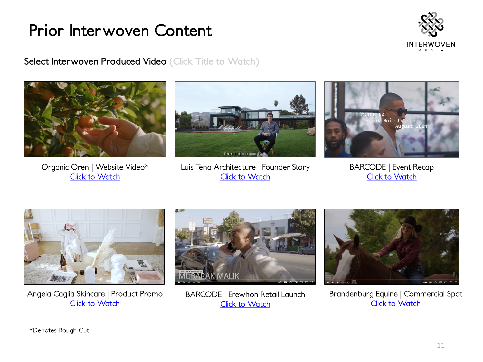

**Select Interwoven Produced Video (Click Title to Watch)** 



Organic Oren | Website Video\* [Click to Watch](https://drive.google.com/file/d/1MDYb-Rk_YXET9f8XQ85a1VH2-1co0wRt/view?usp=sharing)





BARCODE | Event Recap [Click to Watch](https://www.dropbox.com/s/evpzxhwqt6presv/Barcode CATCH LA %2809-15-21%29.mp4?dl=0)



Angela Caglia Skincare | Product Promo [Click to Watch](https://www.dropbox.com/s/79sjea1osa1flh8/Introducing%20Quartz%20LED%20Mask.mp4?dl=0)



BARCODE | Erewhon Retail Launch [Click to Watch](https://drive.google.com/file/d/1kT2euhRMJWO5NrK60YcesRrMYrxEBhw2/view?usp=sharing)

![](_page_9_Picture_12.jpeg)

Brandenburg Equine | Commercial Spot [Click to Watch](https://www.dropbox.com/s/jajvmix8upqnqrd/Commercial - Massage Gun.mov?dl=0)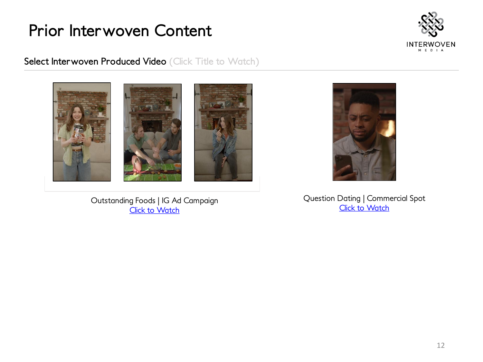![](_page_10_Picture_1.jpeg)

**Select Interwoven Produced Video (Click Title to Watch)** 

![](_page_10_Picture_3.jpeg)

Outstanding Foods | IG Ad Campaign **[Click to Watch](https://www.dropbox.com/sh/6d1wgkh4db9i3va/AAALtanp0R4VN2QcqfrqD8Eoa?dl=0)** 

![](_page_10_Picture_5.jpeg)

Question Dating | Commercial Spot [Click to Watch](https://www.dropbox.com/s/j0ppxldd7ri90ln/Couch Video %28Final%29.mov?dl=0)